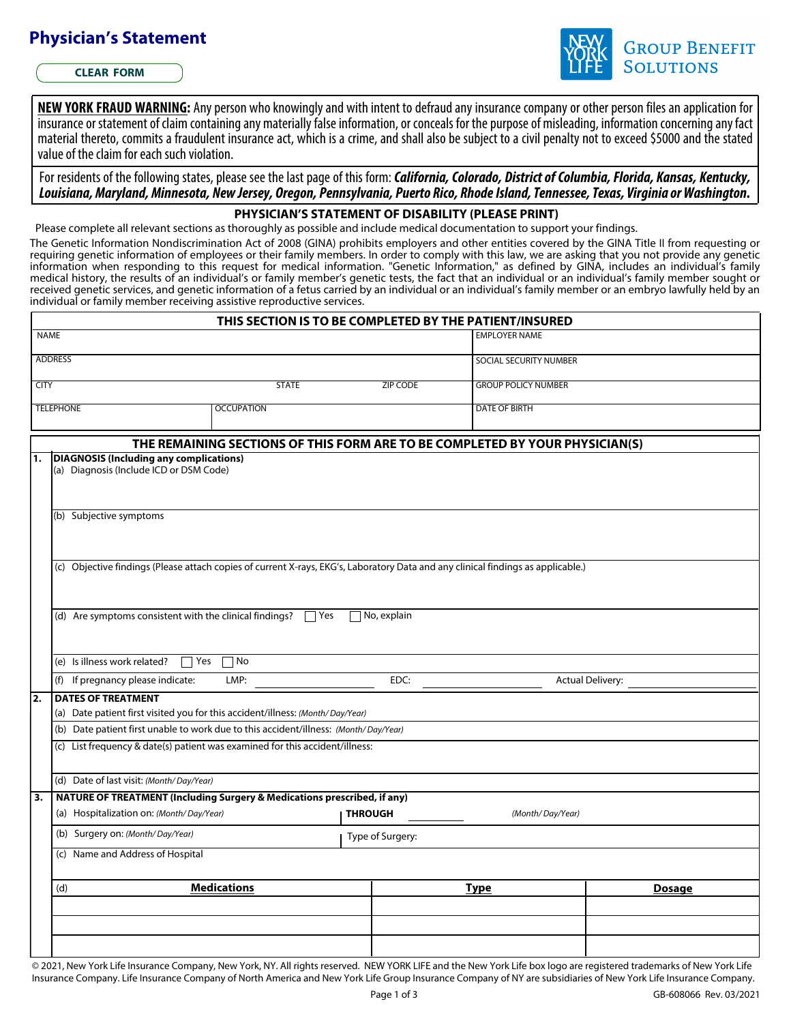## **Physician's Statement**

**CLEAR FORM**



NEW YORK FRAUD WARNING: Any person who knowingly and with intent to defraud any insurance company or other person files an application for insurance or statement of claim containing anymaterially false information, or conceals for the purpose of misleading, information concerning anyfact material thereto, commits a fraudulent insurance act, which is a crime, and shall also be subject to a civil penalty not to exceed \$5000 and the stated value of the claim for each such violation.

For residents of the following states, please see the last page of this form: *California, Colorado, District of Columbia, Florida, Kansas, Kentucky, Louisiana, Maryland, Minnesota, New Jersey, Oregon, Pennsylvania, Puerto Rico, RhodeIsland, Tennessee, Texas, Virginia or Washington.*

## **PHYSICIAN'S STATEMENT OF DISABILITY (PLEASE PRINT)**

Please complete all relevant sections as thoroughly as possible and include medical documentation to support your findings.

The Genetic Information Nondiscrimination Act of 2008 (GINA) prohibits employers and other entities covered by the GINA Title II from requesting or requiring genetic information of employees or their family members. In order to comply with this law, we are asking that you not provide any genetic information when responding to this request for medical information. "Genetic Information," as defined by GINA, includes an individual's family medical history, the results of an individual's or family member's genetic tests, the fact that an individual or an individual's family member sought or received genetic services, and genetic information of a fetus carried by an individual or an individual's family member or an embryo lawfully held by an individual or family member receiving assistive reproductive services.

|                                                                                           |                                                                                      |                                  | THIS SECTION IS TO BE COMPLETED BY THE PATIENT/INSURED                                                                           |                         |  |  |
|-------------------------------------------------------------------------------------------|--------------------------------------------------------------------------------------|----------------------------------|----------------------------------------------------------------------------------------------------------------------------------|-------------------------|--|--|
| <b>NAME</b>                                                                               |                                                                                      |                                  |                                                                                                                                  | <b>EMPLOYER NAME</b>    |  |  |
| <b>ADDRESS</b>                                                                            |                                                                                      |                                  | SOCIAL SECURITY NUMBER                                                                                                           |                         |  |  |
| <b>CITY</b>                                                                               | <b>STATE</b>                                                                         |                                  | <b>GROUP POLICY NUMBER</b><br><b>ZIP CODE</b>                                                                                    |                         |  |  |
| <b>TELEPHONE</b>                                                                          | <b>OCCUPATION</b>                                                                    |                                  | <b>DATE OF BIRTH</b>                                                                                                             |                         |  |  |
|                                                                                           |                                                                                      |                                  |                                                                                                                                  |                         |  |  |
|                                                                                           |                                                                                      |                                  | THE REMAINING SECTIONS OF THIS FORM ARE TO BE COMPLETED BY YOUR PHYSICIAN(S)                                                     |                         |  |  |
| l1.<br>DIAGNOSIS (Including any complications)<br>(a) Diagnosis (Include ICD or DSM Code) |                                                                                      |                                  |                                                                                                                                  |                         |  |  |
| (b) Subjective symptoms                                                                   |                                                                                      |                                  |                                                                                                                                  |                         |  |  |
|                                                                                           |                                                                                      |                                  | (c) Objective findings (Please attach copies of current X-rays, EKG's, Laboratory Data and any clinical findings as applicable.) |                         |  |  |
|                                                                                           | (d) Are symptoms consistent with the clinical findings?                              | $\Box$ Yes<br>$\neg$ No, explain |                                                                                                                                  |                         |  |  |
| (e) Is illness work related?                                                              | $\overline{\mathcal{a}}$ Yes<br>$\Box$ No                                            |                                  |                                                                                                                                  |                         |  |  |
| (f) If pregnancy please indicate:                                                         | LMP:                                                                                 |                                  | EDC:                                                                                                                             | <b>Actual Delivery:</b> |  |  |
| 2.<br><b>DATES OF TREATMENT</b>                                                           | (a) Date patient first visited you for this accident/illness: (Month/Day/Year)       |                                  |                                                                                                                                  |                         |  |  |
|                                                                                           | (b) Date patient first unable to work due to this accident/illness: (Month/Day/Year) |                                  |                                                                                                                                  |                         |  |  |
|                                                                                           | (c) List frequency & date(s) patient was examined for this accident/illness:         |                                  |                                                                                                                                  |                         |  |  |
|                                                                                           |                                                                                      |                                  |                                                                                                                                  |                         |  |  |
| (d) Date of last visit: (Month/Day/Year)                                                  |                                                                                      |                                  |                                                                                                                                  |                         |  |  |
| 3.                                                                                        | <b>NATURE OF TREATMENT (Including Surgery &amp; Medications prescribed, if any)</b>  |                                  |                                                                                                                                  |                         |  |  |
| (a) Hospitalization on: (Month/Day/Year)                                                  |                                                                                      | <b>THROUGH</b>                   |                                                                                                                                  | (Month/Day/Year)        |  |  |
| (b) Surgery on: (Month/Day/Year)                                                          |                                                                                      | Type of Surgery:                 |                                                                                                                                  |                         |  |  |
| (c) Name and Address of Hospital                                                          |                                                                                      |                                  |                                                                                                                                  |                         |  |  |
|                                                                                           | <b>Medications</b>                                                                   |                                  | <b>Type</b>                                                                                                                      |                         |  |  |
|                                                                                           |                                                                                      |                                  |                                                                                                                                  | <b>Dosage</b>           |  |  |
| (d)                                                                                       |                                                                                      |                                  |                                                                                                                                  |                         |  |  |
|                                                                                           |                                                                                      |                                  |                                                                                                                                  |                         |  |  |
|                                                                                           |                                                                                      |                                  |                                                                                                                                  |                         |  |  |

GB-608066 Rev. 03/2021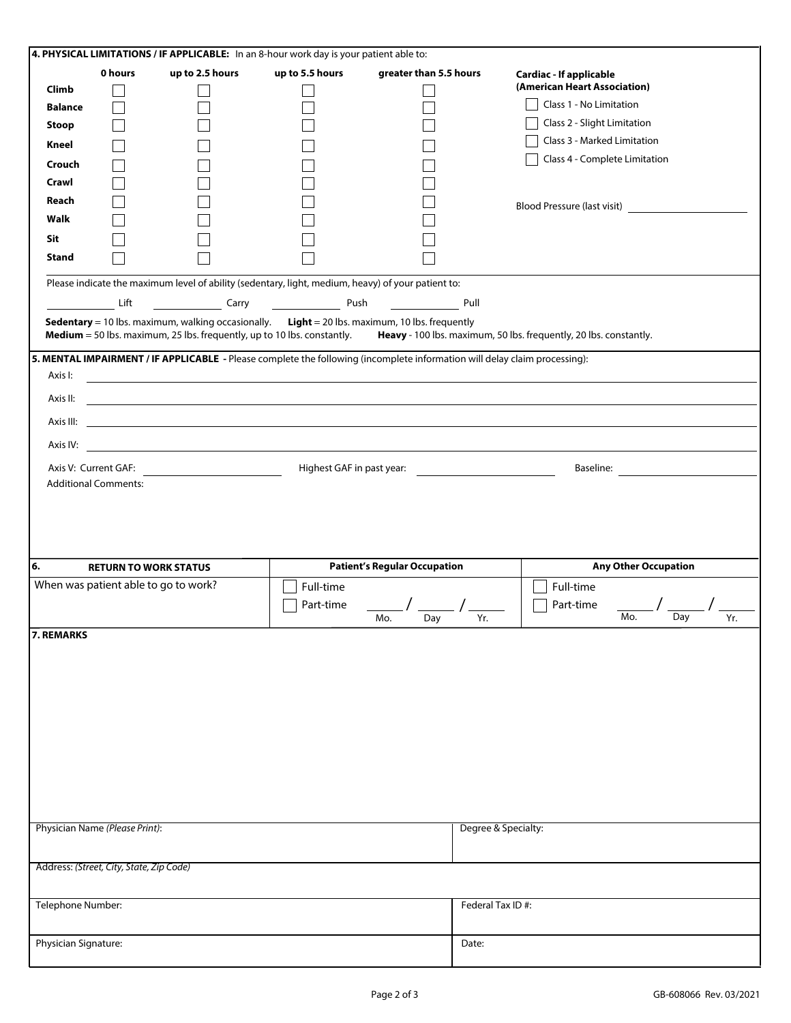| 4. PHYSICAL LIMITATIONS / IF APPLICABLE: In an 8-hour work day is your patient able to: |                                          |                 |                                                                                                    |                                                                                                       |                                                                                                                                                                                                                                      |  |  |  |
|-----------------------------------------------------------------------------------------|------------------------------------------|-----------------|----------------------------------------------------------------------------------------------------|-------------------------------------------------------------------------------------------------------|--------------------------------------------------------------------------------------------------------------------------------------------------------------------------------------------------------------------------------------|--|--|--|
|                                                                                         | 0 hours                                  | up to 2.5 hours | up to 5.5 hours                                                                                    | greater than 5.5 hours                                                                                | <b>Cardiac - If applicable</b>                                                                                                                                                                                                       |  |  |  |
| Climb                                                                                   | $\blacksquare$                           |                 |                                                                                                    |                                                                                                       | (American Heart Association)                                                                                                                                                                                                         |  |  |  |
| <b>Balance</b>                                                                          |                                          |                 |                                                                                                    |                                                                                                       | Class 1 - No Limitation                                                                                                                                                                                                              |  |  |  |
| <b>Stoop</b>                                                                            |                                          |                 |                                                                                                    |                                                                                                       | Class 2 - Slight Limitation                                                                                                                                                                                                          |  |  |  |
| Kneel                                                                                   |                                          |                 |                                                                                                    |                                                                                                       | Class 3 - Marked Limitation                                                                                                                                                                                                          |  |  |  |
| Crouch                                                                                  |                                          |                 |                                                                                                    |                                                                                                       | Class 4 - Complete Limitation                                                                                                                                                                                                        |  |  |  |
| Crawl                                                                                   |                                          |                 |                                                                                                    |                                                                                                       |                                                                                                                                                                                                                                      |  |  |  |
| Reach                                                                                   |                                          |                 |                                                                                                    |                                                                                                       |                                                                                                                                                                                                                                      |  |  |  |
| Walk                                                                                    |                                          |                 |                                                                                                    |                                                                                                       | Blood Pressure (last visit)                                                                                                                                                                                                          |  |  |  |
|                                                                                         |                                          |                 |                                                                                                    |                                                                                                       |                                                                                                                                                                                                                                      |  |  |  |
| Sit                                                                                     |                                          |                 |                                                                                                    |                                                                                                       |                                                                                                                                                                                                                                      |  |  |  |
| <b>Stand</b>                                                                            |                                          |                 |                                                                                                    |                                                                                                       |                                                                                                                                                                                                                                      |  |  |  |
|                                                                                         |                                          |                 | Please indicate the maximum level of ability (sedentary, light, medium, heavy) of your patient to: |                                                                                                       |                                                                                                                                                                                                                                      |  |  |  |
|                                                                                         | Lift                                     |                 |                                                                                                    |                                                                                                       | Pull                                                                                                                                                                                                                                 |  |  |  |
|                                                                                         |                                          |                 |                                                                                                    | <b>Sedentary</b> = 10 lbs. maximum, walking occasionally. Light = 20 lbs. maximum, 10 lbs. frequently |                                                                                                                                                                                                                                      |  |  |  |
|                                                                                         |                                          |                 | <b>Medium</b> = 50 lbs. maximum, 25 lbs. frequently, up to 10 lbs. constantly.                     |                                                                                                       | Heavy - 100 lbs. maximum, 50 lbs. frequently, 20 lbs. constantly.                                                                                                                                                                    |  |  |  |
|                                                                                         |                                          |                 |                                                                                                    |                                                                                                       | 5. MENTAL IMPAIRMENT / IF APPLICABLE - Please complete the following (incomplete information will delay claim processing):                                                                                                           |  |  |  |
|                                                                                         |                                          |                 |                                                                                                    |                                                                                                       |                                                                                                                                                                                                                                      |  |  |  |
| Axis I:                                                                                 |                                          |                 |                                                                                                    |                                                                                                       | <u> 1989 - Johann Stoff, deutscher Stoffen und der Stoffen und der Stoffen und der Stoffen und der Stoffen und der Stoffen und der Stoffen und der Stoffen und der Stoffen und der Stoffen und der Stoffen und der Stoffen und d</u> |  |  |  |
|                                                                                         |                                          |                 |                                                                                                    |                                                                                                       |                                                                                                                                                                                                                                      |  |  |  |
|                                                                                         |                                          |                 |                                                                                                    |                                                                                                       |                                                                                                                                                                                                                                      |  |  |  |
|                                                                                         |                                          |                 |                                                                                                    |                                                                                                       |                                                                                                                                                                                                                                      |  |  |  |
|                                                                                         |                                          |                 |                                                                                                    |                                                                                                       |                                                                                                                                                                                                                                      |  |  |  |
|                                                                                         |                                          |                 |                                                                                                    | Highest GAF in past year:                                                                             |                                                                                                                                                                                                                                      |  |  |  |
|                                                                                         | <b>Additional Comments:</b>              |                 |                                                                                                    |                                                                                                       |                                                                                                                                                                                                                                      |  |  |  |
|                                                                                         |                                          |                 |                                                                                                    |                                                                                                       |                                                                                                                                                                                                                                      |  |  |  |
|                                                                                         |                                          |                 |                                                                                                    |                                                                                                       |                                                                                                                                                                                                                                      |  |  |  |
|                                                                                         |                                          |                 |                                                                                                    |                                                                                                       |                                                                                                                                                                                                                                      |  |  |  |
|                                                                                         |                                          |                 |                                                                                                    |                                                                                                       |                                                                                                                                                                                                                                      |  |  |  |
| 6.                                                                                      | <b>RETURN TO WORK STATUS</b>             |                 |                                                                                                    | <b>Patient's Regular Occupation</b>                                                                   | <b>Any Other Occupation</b>                                                                                                                                                                                                          |  |  |  |
|                                                                                         | When was patient able to go to work?     |                 | Full-time                                                                                          |                                                                                                       | Full-time                                                                                                                                                                                                                            |  |  |  |
|                                                                                         |                                          |                 | Part-time                                                                                          |                                                                                                       | Part-time<br>Mo.                                                                                                                                                                                                                     |  |  |  |
|                                                                                         |                                          |                 |                                                                                                    | Day<br>Mo.                                                                                            | Day<br>Yr.<br>Yr.                                                                                                                                                                                                                    |  |  |  |
| 7. REMARKS                                                                              |                                          |                 |                                                                                                    |                                                                                                       |                                                                                                                                                                                                                                      |  |  |  |
|                                                                                         |                                          |                 |                                                                                                    |                                                                                                       |                                                                                                                                                                                                                                      |  |  |  |
|                                                                                         |                                          |                 |                                                                                                    |                                                                                                       |                                                                                                                                                                                                                                      |  |  |  |
|                                                                                         |                                          |                 |                                                                                                    |                                                                                                       |                                                                                                                                                                                                                                      |  |  |  |
|                                                                                         |                                          |                 |                                                                                                    |                                                                                                       |                                                                                                                                                                                                                                      |  |  |  |
|                                                                                         |                                          |                 |                                                                                                    |                                                                                                       |                                                                                                                                                                                                                                      |  |  |  |
|                                                                                         |                                          |                 |                                                                                                    |                                                                                                       |                                                                                                                                                                                                                                      |  |  |  |
|                                                                                         |                                          |                 |                                                                                                    |                                                                                                       |                                                                                                                                                                                                                                      |  |  |  |
|                                                                                         |                                          |                 |                                                                                                    |                                                                                                       |                                                                                                                                                                                                                                      |  |  |  |
|                                                                                         |                                          |                 |                                                                                                    |                                                                                                       |                                                                                                                                                                                                                                      |  |  |  |
|                                                                                         |                                          |                 |                                                                                                    |                                                                                                       |                                                                                                                                                                                                                                      |  |  |  |
|                                                                                         | Physician Name (Please Print):           |                 |                                                                                                    |                                                                                                       | Degree & Specialty:                                                                                                                                                                                                                  |  |  |  |
|                                                                                         |                                          |                 |                                                                                                    |                                                                                                       |                                                                                                                                                                                                                                      |  |  |  |
|                                                                                         |                                          |                 |                                                                                                    |                                                                                                       |                                                                                                                                                                                                                                      |  |  |  |
|                                                                                         | Address: (Street, City, State, Zip Code) |                 |                                                                                                    |                                                                                                       |                                                                                                                                                                                                                                      |  |  |  |
|                                                                                         |                                          |                 |                                                                                                    |                                                                                                       |                                                                                                                                                                                                                                      |  |  |  |
| Telephone Number:                                                                       |                                          |                 |                                                                                                    |                                                                                                       | Federal Tax ID#:                                                                                                                                                                                                                     |  |  |  |
|                                                                                         |                                          |                 |                                                                                                    |                                                                                                       |                                                                                                                                                                                                                                      |  |  |  |
|                                                                                         |                                          |                 |                                                                                                    |                                                                                                       |                                                                                                                                                                                                                                      |  |  |  |
| Physician Signature:                                                                    |                                          |                 |                                                                                                    |                                                                                                       | Date:                                                                                                                                                                                                                                |  |  |  |